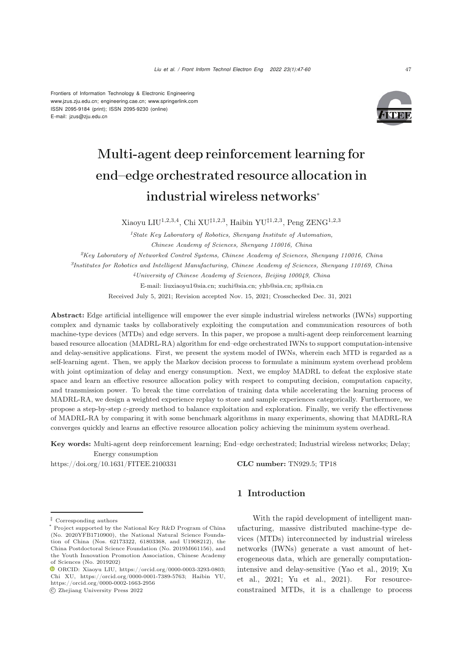Frontiers of Information Technology & Electronic Engineering [www.jzus.zju.edu.cn;](www.jzus.zju.edu.cn) [engineering.cae.cn;](engineering.cae.cn)<www.springerlink.com> ISSN 2095-9184 (print); ISSN 2095-9230 (online) E-mail: jzus@zju.edu.cn



# Multi-agent deep reinforcement learning for end–edge orchestrated resource allocation in industrial wireless networks<sup>∗</sup>

Xiaoyu LIU<sup>1,2,3,4</sup>, Chi XU<sup> $\ddagger$ 1,2,3</sup>, Haibin YU<sup> $\ddagger$ 1,2,3</sup>, Peng ZENG<sup>1,2,3</sup>

*<sup>1</sup>State Key Laboratory of Robotics, Shenyang Institute of Automation, Chinese Academy of Sciences, Shenyang 110016, China <sup>2</sup>Key Laboratory of Networked Control Systems, Chinese Academy of Sciences, Shenyang 110016, China <sup>3</sup>Institutes for Robotics and Intelligent Manufacturing, Chinese Academy of Sciences, Shenyang 110169, China <sup>4</sup>University of Chinese Academy of Sciences, Beijing 100049, China* E-mail: liuxiaoyu1@sia.cn; xuchi@sia.cn; yhb@sia.cn; zp@sia.cn Received July 5, 2021; Revision accepted Nov. 15, 2021; Crosschecked Dec. 31, 2021

Abstract: Edge artificial intelligence will empower the ever simple industrial wireless networks (IWNs) supporting complex and dynamic tasks by collaboratively exploiting the computation and communication resources of both machine-type devices (MTDs) and edge servers. In this paper, we propose a multi-agent deep reinforcement learning based resource allocation (MADRL-RA) algorithm for end–edge orchestrated IWNs to support computation-intensive and delay-sensitive applications. First, we present the system model of IWNs, wherein each MTD is regarded as a self-learning agent. Then, we apply the Markov decision process to formulate a minimum system overhead problem with joint optimization of delay and energy consumption. Next, we employ MADRL to defeat the explosive state space and learn an effective resource allocation policy with respect to computing decision, computation capacity, and transmission power. To break the time correlation of training data while accelerating the learning process of MADRL-RA, we design a weighted experience replay to store and sample experiences categorically. Furthermore, we propose a step-by-step  $\varepsilon$ -greedy method to balance exploitation and exploration. Finally, we verify the effectiveness of MADRL-RA by comparing it with some benchmark algorithms in many experiments, showing that MADRL-RA converges quickly and learns an effective resource allocation policy achieving the minimum system overhead.

Key words: Multi-agent deep reinforcement learning; End–edge orchestrated; Industrial wireless networks; Delay; Energy consumption

https://doi.org/10.1631/FITEE.2100331 **CLC number:** TN929.5; TP18

## ‡ Corresponding authors

c Zhejiang University Press 2022

# 1 Introduction

With the rapid development of intelligent manufacturing, massive distributed machine-type devices (MTDs) interconnected by industrial wireless networks (IWNs) generate a vast amount of heterogeneous data, which are generally computationintens[ive](#page-13-1) [and](#page-13-1) [delay-sensitive](#page-13-1) [\(Yao et al.](#page-13-0)[,](#page-13-1) [2019](#page-13-0)[;](#page-13-1) Xu et al., [2021](#page-13-1); [Yu et al.](#page-13-2), [2021](#page-13-2)). For resourceconstrained MTDs, it is a challenge to process

Project supported by the National Key R&D Program of China (No. 2020YFB1710900), the National Natural Science Foundation of China (Nos. 62173322, 61803368, and U1908212), the China Postdoctoral Science Foundation (No. 2019M661156), and the Youth Innovation Promotion Association, Chinese Academy of Sciences (No. 2019202)

ORCID: Xiaoyu LIU, https://orcid.org/0000-0003-3293-0803; Chi XU, https://orcid.org/0000-0001-7389-5763; Haibin YU, https://orcid.org/0000-0002-1663-2956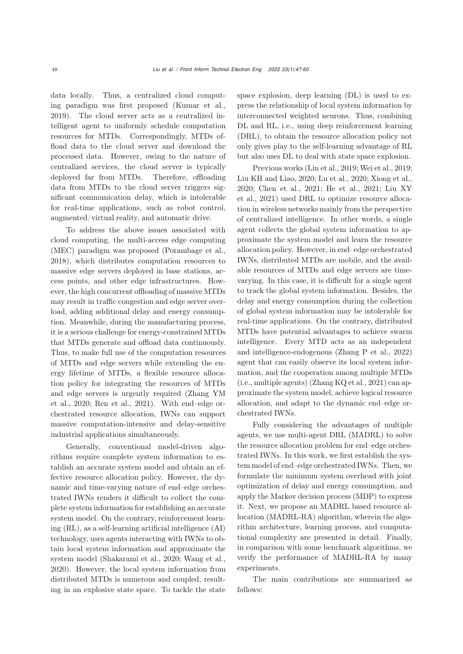data locally. Thus, a centralized cloud computing paradigm was first proposed [\(Kumar et al.](#page-13-3), [2019](#page-13-3)). The cloud server acts as a centralized intelligent agent to uniformly schedule computation resources for MTDs. Correspondingly, MTDs offload data to the cloud server and download the processed data. However, owing to the nature of centralized services, the cloud server is typically deployed far from MTDs. Therefore, offloading data from MTDs to the cloud server triggers significant communication delay, which is intolerable for real-time applications, such as robot control, augmented/virtual reality, and automatic drive.

To address the above issues associated with cloud computing, the multi-access edge computing (MEC) paradigm was proposed [\(Porambage et al.](#page-13-4), [2018](#page-13-4)), which distributes computation resources to massive edge servers deployed in base stations, access points, and other edge infrastructures. However, the high concurrent offloading of massive MTDs may result in traffic congestion and edge server overload, adding additional delay and energy consumption. Meanwhile, during the manufacturing process, it is a serious challenge for energy-constrained MTDs that MTDs generate and offload data continuously. Thus, to make full use of the computation resources of MTDs and edge servers while extending the energy lifetime of MTDs, a flexible resource allocation policy for integrating the resources of MTDs and [edge](#page-13-5) [servers](#page-13-5) [is](#page-13-5) [urgently](#page-13-5) [required](#page-13-5) [\(](#page-13-5)Zhang YM et al., [2020](#page-13-5); [Ren et al.](#page-13-6), [2021](#page-13-6)). With end–edge orchestrated resource allocation, IWNs can support massive computation-intensive and delay-sensitive industrial applications simultaneously.

Generally, conventional model-driven algorithms require complete system information to establish an accurate system model and obtain an effective resource allocation policy. However, the dynamic and time-varying nature of end–edge orchestrated IWNs renders it difficult to collect the complete system information for establishing an accurate system model. On the contrary, reinforcement learning (RL), as a self-learning artificial intelligence (AI) technology, uses agents interacting with IWNs to obtain local system information and approximate the system model [\(Shakarami et al.](#page-13-7), [2020](#page-13-7); [Wang et al.](#page-13-8), [2020](#page-13-8)). However, the local system information from distributed MTDs is numerous and coupled, resulting in an explosive state space. To tackle the state

space explosion, deep learning (DL) is used to express the relationship of local system information by interconnected weighted neurons. Thus, combining DL and RL, i.e., using deep reinforcement learning (DRL), to obtain the resource allocation policy not only gives play to the self-learning advantage of RL but also uses DL to deal with state space explosion.

Previous works [\(Lin et al.](#page-13-9), [2019](#page-13-9); [Wei et al., 2019;](#page-13-10) [Liu KH and Liao, 2020](#page-13-11); [Lu et al., 2020;](#page-13-12) [Xiong et al.](#page-13-13), [2020](#page-13-13)[;](#page-13-15) [Chen et al.](#page-12-0)[,](#page-13-15) [2021](#page-12-0)[;](#page-13-15) [He et al.](#page-13-14)[,](#page-13-15) [2021](#page-13-14)[;](#page-13-15) Liu XY et al., [2021](#page-13-15)) used DRL to optimize resource allocation in wireless networks mainly from the perspective of centralized intelligence. In other words, a single agent collects the global system information to approximate the system model and learn the resource allocation policy. However, in end–edge orchestrated IWNs, distributed MTDs are mobile, and the available resources of MTDs and edge servers are timevarying. In this case, it is difficult for a single agent to track the global system information. Besides, the delay and energy consumption during the collection of global system information may be intolerable for real-time applications. On the contrary, distributed MTDs have potential advantages to achieve swarm intelligence. Every MTD acts as an independent and intelligence-endogenous [\(Zhang P et al., 2022](#page-13-16)) agent that can easily observe its local system information, and the cooperation among multiple MTDs (i.e., multiple agents) [\(Zhang KQ et al., 2021\)](#page-13-17) can approximate the system model, achieve logical resource allocation, and adapt to the dynamic end–edge orchestrated IWNs.

Fully considering the advantages of multiple agents, we use multi-agent DRL (MADRL) to solve the resource allocation problem for end–edge orchestrated IWNs. In this work, we first establish the system model of end–edge orchestrated IWNs. Then, we formulate the minimum system overhead with joint optimization of delay and energy consumption, and apply the Markov decision process (MDP) to express it. Next, we propose an MADRL based resource allocation (MADRL-RA) algorithm, wherein the algorithm architecture, learning process, and computational complexity are presented in detail. Finally, in comparison with some benchmark algorithms, we verify the performance of MADRL-RA by many experiments.

The main contributions are summarized as follows: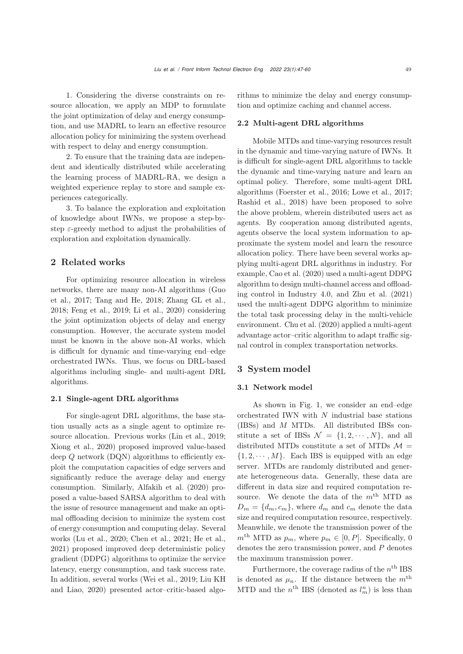1. Considering the diverse constraints on resource allocation, we apply an MDP to formulate the joint optimization of delay and energy consumption, and use MADRL to learn an effective resource allocation policy for minimizing the system overhead with respect to delay and energy consumption.

2. To ensure that the training data are independent and identically distributed while accelerating the learning process of MADRL-RA, we design a weighted experience replay to store and sample experiences categorically.

3. To balance the exploration and exploitation of knowledge about IWNs, we propose a step-bystep  $\varepsilon$ -greedy method to adjust the probabilities of exploration and exploitation dynamically.

## 2 Related works

For optimizing resource allocation in wireless networks, there are many non-AI algorithms (Guo et al., [2017](#page-13-18); [Tang and He, 2018;](#page-13-19) [Zhang GL et al.](#page-13-20), [2018](#page-13-20); [Feng et al., 2019](#page-13-21); [Li et al.](#page-13-22), [2020\)](#page-13-22) considering the joint optimization objects of delay and energy consumption. However, the accurate system model must be known in the above non-AI works, which is difficult for dynamic and time-varying end–edge orchestrated IWNs. Thus, we focus on DRL-based algorithms including single- and multi-agent DRL algorithms.

## 2.1 Single-agent DRL algorithms

For single-agent DRL algorithms, the base station usually acts as a single agent to optimize resource allocation. Previous works [\(Lin et al.](#page-13-9), [2019;](#page-13-9) [Xiong et al., 2020\)](#page-13-13) proposed improved value-based deep Q network (DQN) algorithms to efficiently exploit the computation capacities of edge servers and significantly reduce the average delay and energy consumption. Similarly, [Alfakih et al.](#page-12-1) [\(2020](#page-12-1)) proposed a value-based SARSA algorithm to deal with the issue of resource management and make an optimal offloading decision to minimize the system cost of energy consumption and computing delay. Several works [\(Lu et al.](#page-13-12), [2020;](#page-13-12) [Chen et al., 2021](#page-12-0); [He et al.](#page-13-14), [2021](#page-13-14)) proposed improved deep deterministic policy gradient (DDPG) algorithms to optimize the service latency, energy consumption, and task success rate. In additi[on,](#page-13-11) [several](#page-13-11) [works](#page-13-11) [\(Wei et al., 2019;](#page-13-10) Liu KH and Liao, [2020\)](#page-13-11) presented actor–critic-based algorithms to minimize the delay and energy consumption and optimize caching and channel access.

#### 2.2 Multi-agent DRL algorithms

Mobile MTDs and time-varying resources result in the dynamic and time-varying nature of IWNs. It is difficult for single-agent DRL algorithms to tackle the dynamic and time-varying nature and learn an optimal policy. Therefore, some multi-agent DRL algorithms [\(Foerster et al.](#page-13-23), [2016;](#page-13-23) [Lowe et al.](#page-13-24), [2017;](#page-13-24) [Rashid et al.](#page-13-25), [2018](#page-13-25)) have been proposed to solve the above problem, wherein distributed users act as agents. By cooperation among distributed agents, agents observe the local system information to approximate the system model and learn the resource allocation policy. There have been several works applying multi-agent DRL algorithms in industry. For example, [Cao et al.](#page-12-2) [\(2020](#page-12-2)) used a multi-agent DDPG algorithm to design multi-channel access and offloading control in Industry 4.0, and [Zhu et al.](#page-13-26) [\(2021](#page-13-26)) used the multi-agent DDPG algorithm to minimize the total task processing delay in the multi-vehicle environment. [Chu et al.](#page-13-27) [\(2020](#page-13-27)) applied a multi-agent advantage actor–critic algorithm to adapt traffic signal control in complex transportation networks.

## 3 System model

## 3.1 Network model

As shown in Fig. 1, we consider an end–edge orchestrated IWN with  $N$  industrial base stations (IBSs) and M MTDs. All distributed IBSs constitute a set of IBSs  $\mathcal{N} = \{1, 2, \cdots, N\}$ , and all distributed MTDs constitute a set of MTDs  $\mathcal{M} =$  $\{1, 2, \dots, M\}$ . Each IBS is equipped with an edge server. MTDs are randomly distributed and generate heterogeneous data. Generally, these data are different in data size and required computation resource. We denote the data of the  $m<sup>th</sup>$  MTD as  $D_m = \{d_m, c_m\}$ , where  $d_m$  and  $c_m$  denote the data size and required computation resource, respectively. Meanwhile, we denote the transmission power of the  $m<sup>th</sup> MTD$  as  $p_m$ , where  $p_m \in [0, P]$ . Specifically, 0 denotes the zero transmission power, and  $P$  denotes the maximum transmission power.

Furthermore, the coverage radius of the  $n<sup>th</sup>$  IBS is denoted as  $\mu_n$ . If the distance between the  $m^{\text{th}}$ MTD and the  $n^{\text{th}}$  IBS (denoted as  $l_m^n$ ) is less than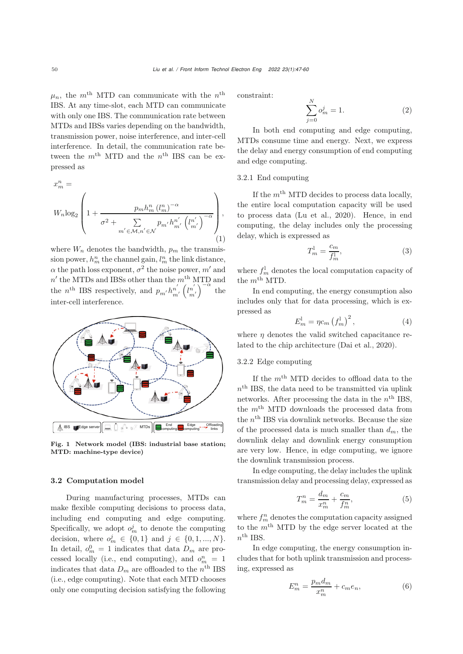$\mu_n$ , the m<sup>th</sup> MTD can communicate with the n<sup>th</sup> IBS. At any time-slot, each MTD can communicate with only one IBS. The communication rate between MTDs and IBSs varies depending on the bandwidth, transmission power, noise interference, and inter-cell interference. In detail, the communication rate between the  $m<sup>th</sup>$  MTD and the  $n<sup>th</sup>$  IBS can be expressed as

$$
x_{m}^{n} = W_{n} \log_{2} \left( 1 + \frac{p_{m} h_{m}^{n} (l_{m}^{n})^{-\alpha}}{\sigma^{2} + \sum_{m' \in \mathcal{M}, n' \in \mathcal{N}} p_{m'} h_{m'}^{n'} (l_{m'}^{n'})^{-\alpha}} \right),
$$
\n(1)

where  $W_n$  denotes the bandwidth,  $p_m$  the transmission power,  $h_m^n$  the channel gain,  $l_m^n$  the link distance,  $\alpha$  the path loss exponent,  $\sigma^2$  the noise power, m' and  $n'$  the MTDs and IBSs other than the  $m<sup>th</sup>$  MTD and the *n*<sup>th</sup> IBS respectively, and  $p_{m'}h_{m'}^{n'}\left(\begin{matrix}l{n'}\\m'\end{matrix}\right)^{-\alpha}$ the inter-cell interference.



Fig. 1 Network model (IBS: industrial base station; MTD: machine-type device)

## 3.2 Computation model

During manufacturing processes, MTDs can make flexible computing decisions to process data, including end computing and edge computing. Specifically, we adopt  $o_m^j$  to denote the computing decision, where  $o_m^j \in \{0,1\}$  and  $j \in \{0,1,...,N\}$ .<br>In detail  $o_0^0 = 1$  indicates that data  $D$ , are pro-In detail,  $o_m^0 = 1$  indicates that data  $D_m$  are pro-<br>example like like and computing) and  $a^n$ cessed locally (i.e., end computing), and  $o_m^n = 1$ cessed locally (i.e., end computing), and  $o_m = 1$ <br>indicates that data  $D_m$  are offloaded to the  $n^{\text{th}}$  IBS (i.e., edge computing). Note that each MTD chooses only one computing decision satisfying the following constraint:

$$
\sum_{j=0}^{N} o_m^j = 1.
$$
 (2)

In both end computing and edge computing, MTDs consume time and energy. Next, we express the delay and energy consumption of end computing and edge computing.

## 3.2.1 End computing

If the  $m<sup>th</sup>$  MTD decides to process data locally, the entire local computation capacity will be used to process data [\(Lu et al.](#page-13-12), [2020\)](#page-13-12). Hence, in end computing, the delay includes only the processing delay, which is expressed as

$$
T_m^l = \frac{c_m}{f_m^l},\tag{3}
$$

where  $f_m^{\dagger}$  denotes the local computation capacity of the  $m^{\text{th}}$  MTD.

In end computing, the energy consumption also includes only that for data processing, which is expressed as

$$
E_m^l = \eta c_m \left(f_m^l\right)^2,\tag{4}
$$

where  $\eta$  denotes the valid switched capacitance related to the chip architecture [\(Dai et al.](#page-13-28), [2020](#page-13-28)).

## 3.2.2 Edge computing

If the  $m<sup>th</sup>$  MTD decides to offload data to the  $n<sup>th</sup>$  IBS, the data need to be transmitted via uplink networks. After processing the data in the  $n<sup>th</sup>$  IBS, the  $m<sup>th</sup>$  MTD downloads the processed data from the  $n<sup>th</sup>$  IBS via downlink networks. Because the size of the processed data is much smaller than  $d_m$ , the downlink delay and downlink energy consumption are very low. Hence, in edge computing, we ignore the downlink transmission process.

In edge computing, the delay includes the uplink transmission delay and processing delay, expressed as

$$
T_m^n = \frac{d_m}{x_m^n} + \frac{c_m}{f_m^n},\tag{5}
$$

where  $f_m^n$  denotes the computation capacity assigned to the  $m<sup>th</sup>$  MTD by the edge server located at the  $n^{\text{th}}$  IBS.

In edge computing, the energy consumption includes that for both uplink transmission and processing, expressed as

$$
E_m^n = \frac{p_m d_m}{x_m^n} + c_m e_n,\tag{6}
$$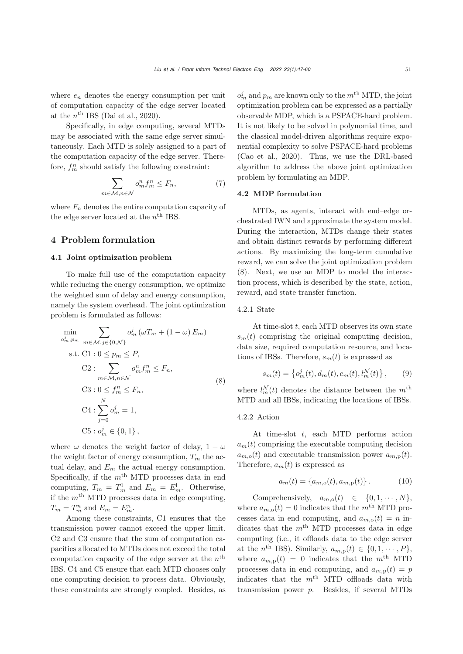where  $e_n$  denotes the energy consumption per unit of computation capacity of the edge server located at the  $n<sup>th</sup>$  IBS [\(Dai et al.](#page-13-28), [2020\)](#page-13-28).

Specifically, in edge computing, several MTDs may be associated with the same edge server simultaneously. Each MTD is solely assigned to a part of the computation capacity of the edge server. Therefore,  $f_m^n$  should satisfy the following constraint:

$$
\sum_{n \in \mathcal{M}, n \in \mathcal{N}} o_m^n f_m^n \le F_n,\tag{7}
$$

where  $F_n$  denotes the entire computation capacity of the edge server located at the  $n<sup>th</sup>$  IBS.

# 4 Problem formulation

 $\eta$ 

## 4.1 Joint optimization problem

To make full use of the computation capacity while reducing the energy consumption, we optimize the weighted sum of delay and energy consumption, namely the system overhead. The joint optimization problem is formulated as follows:

$$
\min_{o_m^j, p_m} \sum_{m \in \mathcal{M}, j \in \{0, \mathcal{N}\}} o_m^j \left(\omega T_m + (1 - \omega) E_m\right)
$$
\n
$$
\text{s.t. C1 : } 0 \le p_m \le P,
$$
\n
$$
\text{C2 : } \sum_{m \in \mathcal{M}, n \in \mathcal{N}} o_m^n f_m^n \le F_n,
$$
\n
$$
\text{C3 : } 0 \le f_m^n \le F_n,
$$
\n
$$
\text{C4 : } \sum_{j=0}^N o_m^j = 1,
$$
\n
$$
\text{C5 : } o_m^j \in \{0, 1\},
$$

where  $\omega$  denotes the weight factor of delay,  $1 - \omega$ the weight factor of energy consumption,  $T_m$  the actual delay, and  $E_m$  the actual energy consumption. Specifically, if the  $m<sup>th</sup>$  MTD processes data in end computing,  $T_m = T_m^l$  and  $E_m = E_m^l$ . Otherwise, if the  $m<sup>th</sup>$  MTD processes data in edge computing,  $T_m = T_m^n$  and  $E_m = E_m^n$ .

Among these constraints, C1 ensures that the transmission power cannot exceed the upper limit. C2 and C3 ensure that the sum of computation capacities allocated to MTDs does not exceed the total computation capacity of the edge server at the  $n^{\text{th}}$ IBS. C4 and C5 ensure that each MTD chooses only one computing decision to process data. Obviously, these constraints are strongly coupled. Besides, as

 $o_m^j$  and  $p_m$  are known only to the  $m^{\text{th}}$  MTD, the joint optimization problem can be expressed as a partially observable MDP, which is a PSPACE-hard problem. It is not likely to be solved in polynomial time, and the classical model-driven algorithms require exponential complexity to solve PSPACE-hard problems [\(Cao et al.](#page-12-2), [2020](#page-12-2)). Thus, we use the DRL-based algorithm to address the above joint optimization problem by formulating an MDP.

#### 4.2 MDP formulation

MTDs, as agents, interact with end–edge orchestrated IWN and approximate the system model. During the interaction, MTDs change their states and obtain distinct rewards by performing different actions. By maximizing the long-term cumulative reward, we can solve the joint optimization problem (8). Next, we use an MDP to model the interaction process, which is described by the state, action, reward, and state transfer function.

## 4.2.1 State

At time-slot  $t$ , each MTD observes its own state  $s_m(t)$  comprising the original computing decision, data size, required computation resource, and locations of IBSs. Therefore,  $s_m(t)$  is expressed as

$$
s_m(t) = \left\{ o_m^j(t), d_m(t), c_m(t), l_m^{\mathcal{N}}(t) \right\},\qquad(9)
$$

where  $l_m^{\mathcal{N}}(t)$  denotes the distance between the  $m^{\text{th}}$ <br>MTD and all IBSs indicating the locations of IBSs MTD and all IBSs, indicating the locations of IBSs.

#### 4.2.2 Action

At time-slot t, each MTD performs action  $a_m(t)$  comprising the executable computing decision  $a_{m,0}(t)$  and executable transmission power  $a_{m,0}(t)$ . Therefore,  $a_m(t)$  is expressed as

$$
a_m(t) = \{a_{m,0}(t), a_{m,p}(t)\}.
$$
 (10)

Comprehensively,  $a_{m,o}(t) \in \{0, 1, \cdots, N\},\$ where  $a_{m,0}(t)=0$  indicates that the m<sup>th</sup> MTD processes data in end computing, and  $a_{m,0}(t) = n$  indicates that the  $m<sup>th</sup>$  MTD processes data in edge computing (i.e., it offloads data to the edge server at the n<sup>th</sup> IBS). Similarly,  $a_{m,p}(t) \in \{0, 1, \cdots, P\},\$ where  $a_{m,n}(t)=0$  indicates that the m<sup>th</sup> MTD processes data in end computing, and  $a_{m,p}(t) = p$ indicates that the  $m<sup>th</sup>$  MTD offloads data with transmission power p. Besides, if several MTDs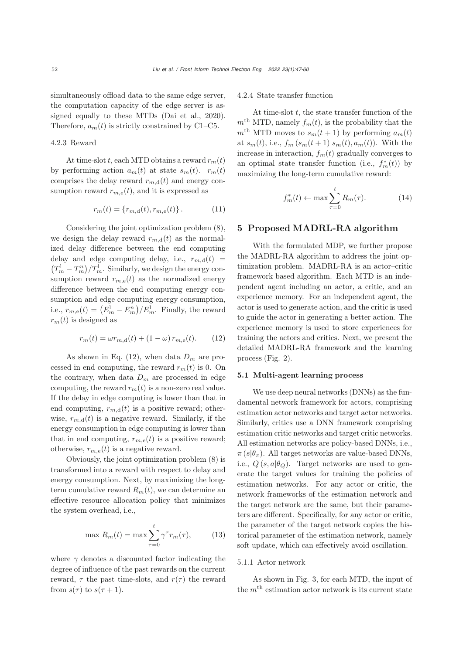simultaneously offload data to the same edge server, the computation capacity of the edge server is assigned equally to these MTDs [\(Dai et al., 2020\)](#page-13-28). Therefore,  $a_m(t)$  is strictly constrained by C1–C5.

#### 4.2.3 Reward

At time-slot t, each MTD obtains a reward  $r_m(t)$ by performing action  $a_m(t)$  at state  $s_m(t)$ .  $r_m(t)$ comprises the delay reward  $r_{m,d}(t)$  and energy consumption reward  $r_{m,e}(t)$ , and it is expressed as

$$
r_m(t) = \{r_{m,d}(t), r_{m,e}(t)\}.
$$
 (11)

Considering the joint optimization problem (8), we design the delay reward  $r_{m,d}(t)$  as the normalized delay difference between the end computing delay and edge computing delay, i.e.,  $r_{m,d}(t)$  =  $(T_m^1 - T_m^n)/T_m^1$ . Similarly, we design the energy consumption reward  $r_{m,e}(t)$  as the normalized energy difference between the end computing energy consumption and edge computing energy consumption, i.e.,  $r_{m,e}(t) = (E_m^1 - E_m^n)/E_m^1$ . Finally, the reward  $r_m(t)$  is designed as

$$
r_m(t) = \omega r_{m,d}(t) + (1 - \omega) r_{m,e}(t).
$$
 (12)

As shown in Eq. (12), when data  $D_m$  are processed in end computing, the reward  $r_m(t)$  is 0. On the contrary, when data  $D_m$  are processed in edge computing, the reward  $r_m(t)$  is a non-zero real value. If the delay in edge computing is lower than that in end computing,  $r_{m,d}(t)$  is a positive reward; otherwise,  $r_{m,d}(t)$  is a negative reward. Similarly, if the energy consumption in edge computing is lower than that in end computing,  $r_{m,e}(t)$  is a positive reward; otherwise,  $r_{m,e}(t)$  is a negative reward.

Obviously, the joint optimization problem (8) is transformed into a reward with respect to delay and energy consumption. Next, by maximizing the longterm cumulative reward  $R_m(t)$ , we can determine an effective resource allocation policy that minimizes the system overhead, i.e.,

$$
\max R_m(t) = \max \sum_{\tau=0}^t \gamma^\tau r_m(\tau), \tag{13}
$$

where  $\gamma$  denotes a discounted factor indicating the degree of influence of the past rewards on the current reward,  $\tau$  the past time-slots, and  $r(\tau)$  the reward from  $s(\tau)$  to  $s(\tau + 1)$ .

#### 4.2.4 State transfer function

At time-slot  $t$ , the state transfer function of the  $m<sup>th</sup> MTD$ , namely  $f_m(t)$ , is the probability that the  $m<sup>th</sup>$  MTD moves to  $s_m(t + 1)$  by performing  $a_m(t)$ at  $s_m(t)$ , i.e.,  $f_m(s_m(t+1)|s_m(t), a_m(t))$ . With the increase in interaction,  $f_m(t)$  gradually converges to an optimal state transfer function (i.e.,  $f_m^*(t)$ ) by<br>movimizing the long term sumpletive percent. maximizing the long-term cumulative reward:

$$
f_m^*(t) \leftarrow \max \sum_{\tau=0}^t R_m(\tau). \tag{14}
$$

# 5 Proposed MADRL-RA algorithm

With the formulated MDP, we further propose the MADRL-RA algorithm to address the joint optimization problem. MADRL-RA is an actor–critic framework based algorithm. Each MTD is an independent agent including an actor, a critic, and an experience memory. For an independent agent, the actor is used to generate action, and the critic is used to guide the actor in generating a better action. The experience memory is used to store experiences for training the actors and critics. Next, we present the detailed MADRL-RA framework and the learning process (Fig. 2).

## 5.1 Multi-agent learning process

We use deep neural networks (DNNs) as the fundamental network framework for actors, comprising estimation actor networks and target actor networks. Similarly, critics use a DNN framework comprising estimation critic networks and target critic networks. All estimation networks are policy-based DNNs, i.e.,  $\pi(s|\theta_\pi)$ . All target networks are value-based DNNs, i.e.,  $Q(s, a | \theta_{\Omega})$ . Target networks are used to generate the target values for training the policies of estimation networks. For any actor or critic, the network frameworks of the estimation network and the target network are the same, but their parameters are different. Specifically, for any actor or critic, the parameter of the target network copies the historical parameter of the estimation network, namely soft update, which can effectively avoid oscillation.

## 5.1.1 Actor network

As shown in Fig. 3, for each MTD, the input of the  $m<sup>th</sup>$  estimation actor network is its current state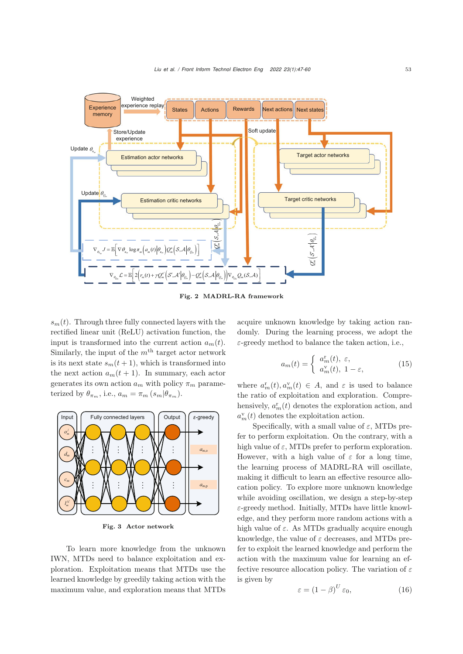

Fig. 2 MADRL-RA framework

 $s_m(t)$ . Through three fully connected layers with the rectified linear unit (ReLU) activation function, the input is transformed into the current action  $a_m(t)$ . Similarly, the input of the  $m<sup>th</sup>$  target actor network is its next state  $s_m(t+1)$ , which is transformed into the next action  $a_m(t + 1)$ . In summary, each actor generates its own action  $a_m$  with policy  $\pi_m$  parameterized by  $\theta_{\pi_m}$ , i.e.,  $a_m = \pi_m (s_m | \theta_{\pi_m})$ .



Fig. 3 Actor network

To learn more knowledge from the unknown IWN, MTDs need to balance exploitation and exploration. Exploitation means that MTDs use the learned knowledge by greedily taking action with the maximum value, and exploration means that MTDs

acquire unknown knowledge by taking action randomly. During the learning process, we adopt the  $\varepsilon$ -greedy method to balance the taken action, i.e.,

$$
a_m(t) = \begin{cases} a_m^{\mathbf{r}}(t), \ \varepsilon, \\ a_m^{\mathbf{v}}(t), \ 1 - \varepsilon, \end{cases}
$$
 (15)

where  $a_m^r(t), a_m^v(t) \in A$ , and  $\varepsilon$  is used to balance<br>the natio of exploitation and exploration. Compre the ratio of exploitation and exploration. Comprehensively,  $a_m^r(t)$  denotes the exploration action, and  $a_v^r(t)$  denotes the exploitation action  $a_m^{\rm v}(t)$  denotes the exploitation action.

Specifically, with a small value of  $\varepsilon$ , MTDs prefer to perform exploitation. On the contrary, with a high value of  $\varepsilon$ , MTDs prefer to perform exploration. However, with a high value of  $\varepsilon$  for a long time, the learning process of MADRL-RA will oscillate, making it difficult to learn an effective resource allocation policy. To explore more unknown knowledge while avoiding oscillation, we design a step-by-step  $\varepsilon$ -greedy method. Initially, MTDs have little knowledge, and they perform more random actions with a high value of  $\varepsilon$ . As MTDs gradually acquire enough knowledge, the value of  $\varepsilon$  decreases, and MTDs prefer to exploit the learned knowledge and perform the action with the maximum value for learning an effective resource allocation policy. The variation of  $\varepsilon$ is given by

$$
\varepsilon = \left(1 - \beta\right)^U \varepsilon_0,\tag{16}
$$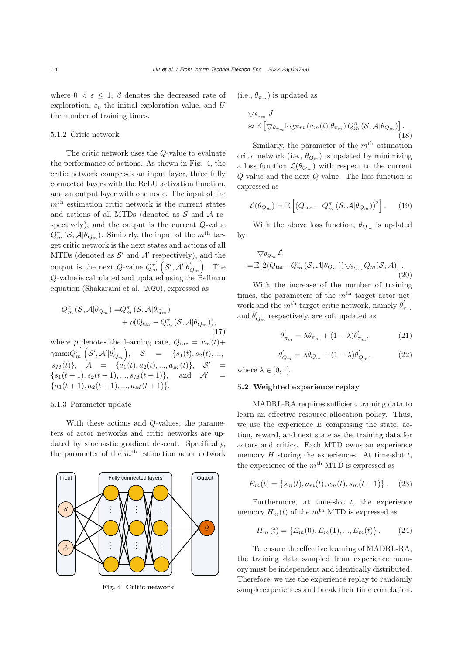where  $0 < \varepsilon \leq 1$ ,  $\beta$  denotes the decreased rate of exploration,  $\varepsilon_0$  the initial exploration value, and U the number of training times.

## 5.1.2 Critic network

The critic network uses the Q-value to evaluate the performance of actions. As shown in Fig. 4, the critic network comprises an input layer, three fully connected layers with the ReLU activation function, and an output layer with one node. The input of the  $m<sup>th</sup>$  estimation critic network is the current states and actions of all MTDs (denoted as  $S$  and  $A$  respectively), and the output is the current Q-value  $Q_m^{\pi}$  ( $\mathcal{S}, \mathcal{A} | \theta_{Q_m}$ ). Similarly, the input of the m<sup>th</sup> tar-<br>get griting petroph is the port states and actions of all get critic network is the next states and actions of all MTDs (denoted as  $S'$  and  $A'$  respectively), and the output is the next  $Q$ -value  $Q_m^{\pi'}\left(\mathcal{S}',\mathcal{A}'|\theta'_{Q_m}\right)$ . The  $Q$ -value is calculated and updated using the Bellman equation [\(Shakarami et al., 2020\)](#page-13-7), expressed as

$$
Q_m^{\pi}(\mathcal{S}, \mathcal{A} | \theta_{Q_m}) = Q_m^{\pi}(\mathcal{S}, \mathcal{A} | \theta_{Q_m}) + \rho(Q_{\text{tar}} - Q_m^{\pi}(\mathcal{S}, \mathcal{A} | \theta_{Q_m})),
$$
\n(17)

where  $\rho$  denotes the learning rate,  $Q_{\text{tar}} = r_m(t) +$  $\gamma \max Q_m^{\pi'}\left(S',\mathcal{A}'|\theta'_{Q_m}\right), \quad S = \{s_1(t),s_2(t),...,\right.$  $s_M(t)$ ,  $\mathcal{A} = \{a_1(t), a_2(t), ..., a_M(t)\}, \mathcal{S}' =$  $\{s_1(t+1), s_2(t+1), ..., s_M(t+1)\}\text{, and } \mathcal{A}'$  ${a_1(t + 1), a_2(t + 1), ..., a_M(t + 1)}.$ 

#### 5.1.3 Parameter update

With these actions and Q-values, the parameters of actor networks and critic networks are updated by stochastic gradient descent. Specifically, the parameter of the  $m^{\rm th}$  estimation actor network



Fig. 4 Critic network

(i.e.,  $\theta_{\pi_m}$ ) is updated as

$$
\nabla \theta_{\pi_m} J
$$
  
\n
$$
\approx \mathbb{E} \left[ \nabla \theta_{\pi_m} \log \pi_m \left( a_m(t) | \theta_{\pi_m} \right) Q_m^{\pi} \left( \mathcal{S}, \mathcal{A} | \theta_{Q_m} \right) \right].
$$
\n(18)

Similarly, the parameter of the  $m<sup>th</sup>$  estimation critic network (i.e.,  $\theta_{Q_m}$ ) is updated by minimizing a loss function  $\mathcal{L}(\theta_{Q_m})$  with respect to the current Q-value and the next Q-value. The loss function is expressed as

$$
\mathcal{L}(\theta_{Q_m}) = \mathbb{E}\left[ \left( Q_{\text{tar}} - Q_m^{\pi} \left( \mathcal{S}, \mathcal{A} | \theta_{Q_m} \right) \right)^2 \right]. \tag{19}
$$

With the above loss function,  $\theta_{Q_m}$  is updated by

$$
\nabla_{\theta_{Q_m}} \mathcal{L}
$$
  
=  $\mathbb{E}\big[2(Q_{\text{tar}}-Q_m^{\pi}(\mathcal{S}, \mathcal{A}|\theta_{Q_m}))\bigtriangledown_{\theta_{Q_m}} Q_m(\mathcal{S}, \mathcal{A})\big].$  (20)

With the increase of the number of training times, the parameters of the  $m<sup>th</sup>$  target actor network and the  $m^{\text{th}}$  target critic network, namely  $\theta_{\pi_m}'$ and  $\theta'_{Q_m}$  respectively, are soft updated as

$$
\theta'_{\pi_m} = \lambda \theta_{\pi_m} + (1 - \lambda) \theta'_{\pi_m}, \qquad (21)
$$

$$
\theta'_{Q_m} = \lambda \theta_{Q_m} + (1 - \lambda) \theta'_{Q_m}, \qquad (22)
$$

where  $\lambda \in [0, 1]$ .

#### 5.2 Weighted experience replay

MADRL-RA requires sufficient training data to learn an effective resource allocation policy. Thus, we use the experience  $E$  comprising the state, action, reward, and next state as the training data for actors and critics. Each MTD owns an experience memory  $H$  storing the experiences. At time-slot  $t$ , the experience of the  $m<sup>th</sup>$  MTD is expressed as

$$
E_m(t) = \{s_m(t), a_m(t), r_m(t), s_m(t+1)\}.
$$
 (23)

Furthermore, at time-slot  $t$ , the experience memory  $H_m(t)$  of the  $m^{\text{th}}$  MTD is expressed as

$$
H_m(t) = \{E_m(0), E_m(1), ..., E_m(t)\}.
$$
 (24)

To ensure the effective learning of MADRL-RA, the training data sampled from experience memory must be independent and identically distributed. Therefore, we use the experience replay to randomly sample experiences and break their time correlation.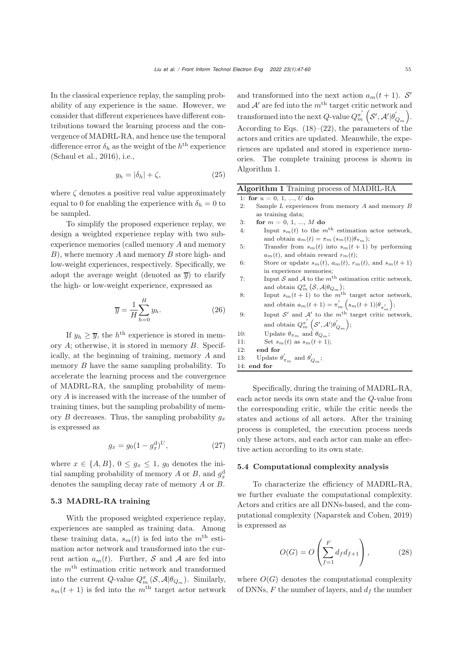In the classical experience replay, the sampling probability of any experience is the same. However, we consider that different experiences have different contributions toward the learning process and the convergence of MADRL-RA, and hence use the temporal difference error  $\delta_h$  as the weight of the  $h^{\text{th}}$  experience [\(Schaul et al.](#page-13-29), [2016](#page-13-29)), i.e.,

$$
y_h = |\delta_h| + \zeta,\tag{25}
$$

where  $\zeta$  denotes a positive real value approximately equal to 0 for enabling the experience with  $\delta_h = 0$  to be sampled.

To simplify the proposed experience replay, we design a weighted experience replay with two subexperience memories (called memory A and memory  $B$ ), where memory A and memory B store high- and low-weight experiences, respectively. Specifically, we adopt the average weight (denoted as  $\overline{y}$ ) to clarify the high- or low-weight experience, expressed as

$$
\overline{y} = \frac{1}{H} \sum_{h=0}^{H} y_h.
$$
\n(26)

If  $y_h \geq \overline{y}$ , the  $h^{\text{th}}$  experience is stored in memory A; otherwise, it is stored in memory B. Specifically, at the beginning of training, memory A and memory B have the same sampling probability. To accelerate the learning process and the convergence of MADRL-RA, the sampling probability of memory A is increased with the increase of the number of training times, but the sampling probability of memory  $B$  decreases. Thus, the sampling probability  $g_x$ is expressed as

$$
g_x = g_0 (1 - g_x^{\rm d})^U, \tag{27}
$$

where  $x \in \{A, B\}, 0 \le g_x \le 1, g_0$  denotes the initial sampling probability of memory A or B, and  $g_x^d$ denotes the sampling decay rate of memory A or B.

#### 5.3 MADRL-RA training

With the proposed weighted experience replay, experiences are sampled as training data. Among these training data,  $s_m(t)$  is fed into the  $m<sup>th</sup>$  estimation actor network and transformed into the current action  $a_m(t)$ . Further, S and A are fed into the  $m<sup>th</sup>$  estimation critic network and transformed into the current Q-value  $Q_m^{\pi}(S, \mathcal{A}|\theta_{Q_m})$ . Similarly,  $s_m(t+1)$  is fed into the m<sup>th</sup> target actor network

and transformed into the next action  $a_m(t+1)$ . S' and  $A'$  are fed into the  $m<sup>th</sup>$  target critic network and transformed into the next Q-value  $Q_m^{\pi'}\left(S',\mathcal{A}'|\theta'_{Q_m}\right)$ . According to Eqs.  $(18)$ – $(22)$ , the parameters of the actors and critics are updated. Meanwhile, the experiences are updated and stored in experience memories. The complete training process is shown in Algorithm 1.

Algorithm 1 Training process of MADRL-RA

1: for  $u = 0, 1, ..., U$  do

| 2:  | Sample $L$ experiences from memory $A$ and memory $B$                    |
|-----|--------------------------------------------------------------------------|
|     | as training data;                                                        |
| 3:  | for $m = 0, 1, , M$ do                                                   |
| 4:  | Input $s_m(t)$ to the $m^{\text{th}}$ estimation actor network,          |
|     | and obtain $a_m(t) = \pi_m (s_m(t) \theta_{\pi_m});$                     |
| 5:  | Transfer from $s_m(t)$ into $s_m(t+1)$ by performing                     |
|     | $a_m(t)$ , and obtain reward $r_m(t)$ ;                                  |
| 6:  | Store or update $s_m(t)$ , $a_m(t)$ , $r_m(t)$ , and $s_m(t+1)$          |
|     | in experience memories;                                                  |
| 7:  | Input S and A to the $mth$ estimation critic network,                    |
|     | and obtain $Q_m^{\pi}$ $(\mathcal{S}, \mathcal{A}   \theta_{Q_m})$ ;     |
| 8:  | Input $s_m(t+1)$ to the $m^{\text{th}}$ target actor network,            |
|     | and obtain $a_m(t+1) = \pi'_m\left(s_m(t+1)\vert\theta_{\pi'_m}\right);$ |
| 9:  | Input $S'$ and $A'$ to the $mth$ target critic network,                  |
|     | and obtain $Q_m^{\pi'}\left(S',\mathcal{A}' \theta'_{Q_m}\right);$       |
| 10: | Update $\theta_{\pi_m}$ and $\theta_{Q_m}$ ;                             |
| 11: | Set $s_m(t)$ as $s_m(t+1)$ ;                                             |
| 12: | end for                                                                  |
| 13: | Update $\theta'_{\pi_m}$ and $\theta'_{Q_m}$ ;                           |
|     | $14:$ end for                                                            |
|     |                                                                          |

Specifically, during the training of MADRL-RA, each actor needs its own state and the Q-value from the corresponding critic, while the critic needs the states and actions of all actors. After the training process is completed, the execution process needs only these actors, and each actor can make an effective action according to its own state.

## 5.4 Computational complexity analysis

To characterize the efficiency of MADRL-RA, we further evaluate the computational complexity. Actors and critics are all DNNs-based, and the computational complexity [\(Naparstek and Cohen, 2019](#page-13-30)) is expressed as

$$
O(G) = O\left(\sum_{f=1}^{F} d_f d_{f+1}\right),\tag{28}
$$

where  $O(G)$  denotes the computational complexity of DNNs,  $F$  the number of layers, and  $d_f$  the number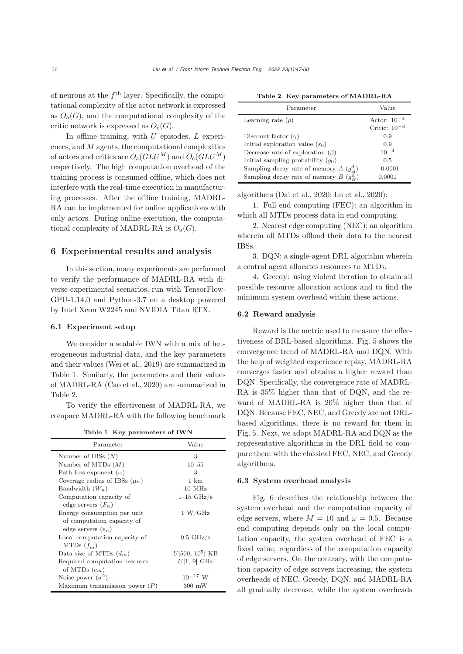of neurons at the  $f<sup>th</sup>$  layer. Specifically, the computational complexity of the actor network is expressed as  $O_{a}(G)$ , and the computational complexity of the critic network is expressed as  $O_c(G)$ .

In offline training, with  $U$  episodes,  $L$  experiences, and  $M$  agents, the computational complexities of actors and critics are  $O_a(GLU^M)$  and  $O_c(GLU^M)$ respectively. The high computation overhead of the training process is consumed offline, which does not interfere with the real-time execution in manufacturing processes. After the offline training, MADRL-RA can be implemented for online applications with only actors. During online execution, the computational complexity of MADRL-RA is  $O_a(G)$ .

## 6 Experimental results and analysis

In this section, many experiments are performed to verify the performance of MADRL-RA with diverse experimental scenarios, run with TensorFlow-GPU-1.14.0 and Python-3.7 on a desktop powered by Intel Xeon W2245 and NVIDIA Titan RTX.

## 6.1 Experiment setup

We consider a scalable IWN with a mix of heterogeneous industrial data, and the key parameters and their values [\(Wei et al., 2019](#page-13-10)) are summarized in Table 1. Similarly, the parameters and their values of MADRL-RA [\(Cao et al., 2020\)](#page-12-2) are summarized in Table 2.

To verify the effectiveness of MADRL-RA, we compare MADRL-RA with the following benchmark

|  |  | Table 1 Key parameters of IWN |  |  |  |
|--|--|-------------------------------|--|--|--|
|--|--|-------------------------------|--|--|--|

| Parameter                         | Value                |
|-----------------------------------|----------------------|
| Number of IBSs $(N)$              | 3                    |
| Number of MTDs $(M)$              | $10 - 55$            |
| Path loss exponent $(\alpha)$     | 3                    |
| Coverage radius of IBSs $(\mu_n)$ | 1 km                 |
| Bandwidth $(W_n)$                 | 10 MHz               |
| Computation capacity of           | $1-15 \text{ GHz/s}$ |
| edge servers $(F_n)$              |                      |
| Energy consumption per unit       | 1 W/GHz              |
| of computation capacity of        |                      |
| edge servers $(e_n)$              |                      |
| Local computation capacity of     | $0.5 \text{ GHz/s}$  |
| MTDs $(f_m^l)$                    |                      |
| Data size of MTDs $(d_m)$         | $U[500, 10^5]$ KB    |
| Required computation resource     | $U[1, 9]$ GHz        |
| of MTDs $(c_m)$                   |                      |
| Noise power $(\sigma^2)$          | $10^{-17}$ W         |
| Maximum transmission power $(P)$  | $300 \text{ mW}$     |

| Parameter                                               | Value             |
|---------------------------------------------------------|-------------------|
| Learning rate $(\rho)$                                  | Actor: $10^{-4}$  |
|                                                         | Critic: $10^{-3}$ |
| Discount factor $(\gamma)$                              | 0.9               |
| Initial exploration value $(\varepsilon_0)$             | 0.9               |
| Decrease rate of exploration $(\beta)$                  | $10^{-4}$         |
| Initial sampling probability $(g_0)$                    | 0.5               |
| Sampling decay rate of memory $A\left(g_{A}^{d}\right)$ | $-0.0001$         |
| Sampling decay rate of memory $B\left(g_R^d\right)$     | 0.0001            |

algorithms [\(Dai et al.](#page-13-28), [2020](#page-13-28); [Lu et al.](#page-13-12), [2020](#page-13-12)):

1. Full end computing (FEC): an algorithm in which all MTDs process data in end computing.

2. Nearest edge computing (NEC): an algorithm wherein all MTDs offload their data to the nearest IBSs.

3. DQN: a single-agent DRL algorithm wherein a central agent allocates resources to MTDs.

4. Greedy: using violent iteration to obtain all possible resource allocation actions and to find the minimum system overhead within these actions.

#### 6.2 Reward analysis

Reward is the metric used to measure the effectiveness of DRL-based algorithms. Fig. 5 shows the convergence trend of MADRL-RA and DQN. With the help of weighted experience replay, MADRL-RA converges faster and obtains a higher reward than DQN. Specifically, the convergence rate of MADRL-RA is 35% higher than that of DQN, and the reward of MADRL-RA is 20% higher than that of DQN. Because FEC, NEC, and Greedy are not DRLbased algorithms, there is no reward for them in Fig. 5. Next, we adopt MADRL-RA and DQN as the representative algorithms in the DRL field to compare them with the classical FEC, NEC, and Greedy algorithms.

## 6.3 System overhead analysis

Fig. 6 describes the relationship between the system overhead and the computation capacity of edge servers, where  $M = 10$  and  $\omega = 0.5$ . Because end computing depends only on the local computation capacity, the system overhead of FEC is a fixed value, regardless of the computation capacity of edge servers. On the contrary, with the computation capacity of edge servers increasing, the system overheads of NEC, Greedy, DQN, and MADRL-RA all gradually decrease, while the system overheads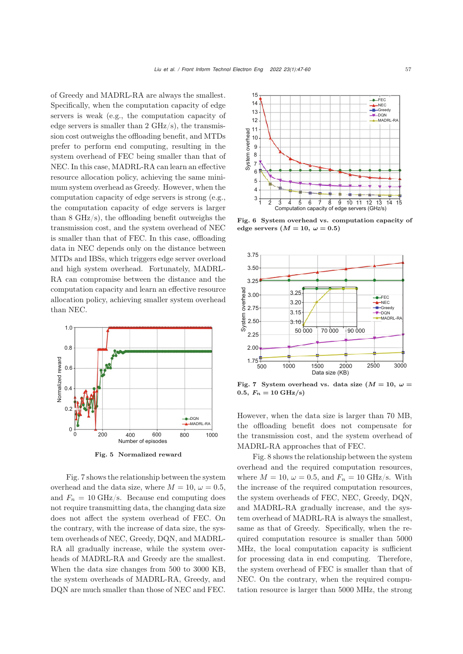of Greedy and MADRL-RA are always the smallest. Specifically, when the computation capacity of edge servers is weak (e.g., the computation capacity of edge servers is smaller than  $2 \text{ GHz/s}$ , the transmission cost outweighs the offloading benefit, and MTDs prefer to perform end computing, resulting in the system overhead of FEC being smaller than that of NEC. In this case, MADRL-RA can learn an effective resource allocation policy, achieving the same minimum system overhead as Greedy. However, when the computation capacity of edge servers is strong (e.g., the computation capacity of edge servers is larger than 8 GHz/s), the offloading benefit outweighs the transmission cost, and the system overhead of NEC is smaller than that of FEC. In this case, offloading data in NEC depends only on the distance between MTDs and IBSs, which triggers edge server overload and high system overhead. Fortunately, MADRL-RA can compromise between the distance and the computation capacity and learn an effective resource allocation policy, achieving smaller system overhead than NEC.



Fig. 5 Normalized reward

Fig. 7 shows the relationship between the system overhead and the data size, where  $M = 10, \omega = 0.5$ , and  $F_n = 10 \text{ GHz/s}$ . Because end computing does not require transmitting data, the changing data size does not affect the system overhead of FEC. On the contrary, with the increase of data size, the system overheads of NEC, Greedy, DQN, and MADRL-RA all gradually increase, while the system overheads of MADRL-RA and Greedy are the smallest. When the data size changes from 500 to 3000 KB, the system overheads of MADRL-RA, Greedy, and DQN are much smaller than those of NEC and FEC.



Fig. 6 System overhead vs. computation capacity of edge servers  $(M = 10, \omega = 0.5)$ 



Fig. 7 System overhead vs. data size  $(M = 10, \omega =$  $0.5, F_n = 10 \text{ GHz/s}$ 

However, when the data size is larger than 70 MB, the offloading benefit does not compensate for the transmission cost, and the system overhead of MADRL-RA approaches that of FEC.

Fig. 8 shows the relationship between the system overhead and the required computation resources, where  $M = 10$ ,  $\omega = 0.5$ , and  $F_n = 10$  GHz/s. With the increase of the required computation resources, the system overheads of FEC, NEC, Greedy, DQN, and MADRL-RA gradually increase, and the system overhead of MADRL-RA is always the smallest, same as that of Greedy. Specifically, when the required computation resource is smaller than 5000 MHz, the local computation capacity is sufficient for processing data in end computing. Therefore, the system overhead of FEC is smaller than that of NEC. On the contrary, when the required computation resource is larger than 5000 MHz, the strong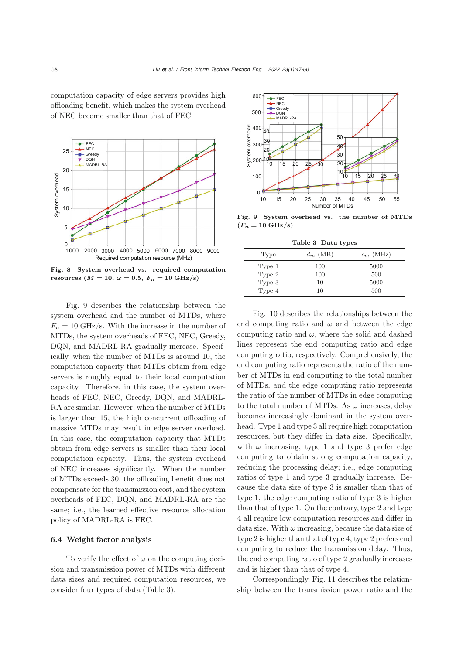computation capacity of edge servers provides high offloading benefit, which makes the system overhead of NEC become smaller than that of FEC.



Fig. 8 System overhead vs. required computation resources ( $M = 10$ ,  $\omega = 0.5$ ,  $F_n = 10 \text{ GHz/s}$ )

Fig. 9 describes the relationship between the system overhead and the number of MTDs, where  $F_n = 10$  GHz/s. With the increase in the number of MTDs, the system overheads of FEC, NEC, Greedy, DQN, and MADRL-RA gradually increase. Specifically, when the number of MTDs is around 10, the computation capacity that MTDs obtain from edge servers is roughly equal to their local computation capacity. Therefore, in this case, the system overheads of FEC, NEC, Greedy, DQN, and MADRL-RA are similar. However, when the number of MTDs is larger than 15, the high concurrent offloading of massive MTDs may result in edge server overload. In this case, the computation capacity that MTDs obtain from edge servers is smaller than their local computation capacity. Thus, the system overhead of NEC increases significantly. When the number of MTDs exceeds 30, the offloading benefit does not compensate for the transmission cost, and the system overheads of FEC, DQN, and MADRL-RA are the same; i.e., the learned effective resource allocation policy of MADRL-RA is FEC.

## 6.4 Weight factor analysis

To verify the effect of  $\omega$  on the computing decision and transmission power of MTDs with different data sizes and required computation resources, we consider four types of data (Table 3).



Fig. 9 System overhead vs. the number of MTDs  $(F_n = 10 \text{ GHz/s})$ 

Table 3 Data types

| Type   | $d_m$ (MB) | $c_m$ (MHz) |
|--------|------------|-------------|
| Type 1 | 100        | 5000        |
| Type 2 | 100        | 500         |
| Type 3 | 10         | 5000        |
| Type 4 | 10         | 500         |

Fig. 10 describes the relationships between the end computing ratio and  $\omega$  and between the edge computing ratio and  $\omega$ , where the solid and dashed lines represent the end computing ratio and edge computing ratio, respectively. Comprehensively, the end computing ratio represents the ratio of the number of MTDs in end computing to the total number of MTDs, and the edge computing ratio represents the ratio of the number of MTDs in edge computing to the total number of MTDs. As  $\omega$  increases, delay becomes increasingly dominant in the system overhead. Type 1 and type 3 all require high computation resources, but they differ in data size. Specifically, with  $\omega$  increasing, type 1 and type 3 prefer edge computing to obtain strong computation capacity, reducing the processing delay; i.e., edge computing ratios of type 1 and type 3 gradually increase. Because the data size of type 3 is smaller than that of type 1, the edge computing ratio of type 3 is higher than that of type 1. On the contrary, type 2 and type 4 all require low computation resources and differ in data size. With  $\omega$  increasing, because the data size of type 2 is higher than that of type 4, type 2 prefers end computing to reduce the transmission delay. Thus, the end computing ratio of type 2 gradually increases and is higher than that of type 4.

Correspondingly, Fig. 11 describes the relationship between the transmission power ratio and the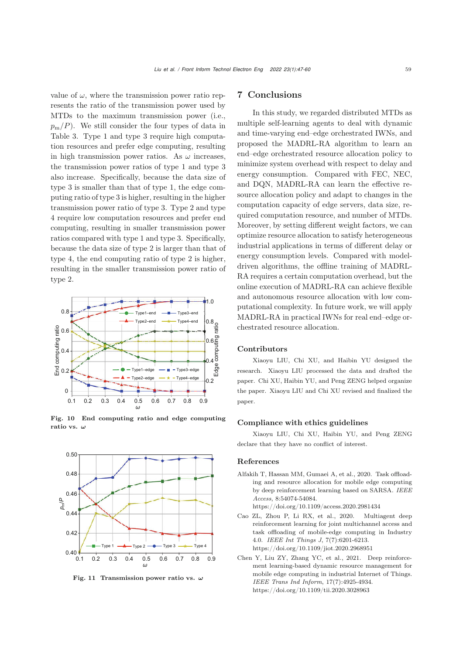value of  $\omega$ , where the transmission power ratio represents the ratio of the transmission power used by MTDs to the maximum transmission power (i.e.,  $p_m/P$ ). We still consider the four types of data in Table 3. Type 1 and type 3 require high computation resources and prefer edge computing, resulting in high transmission power ratios. As  $\omega$  increases, the transmission power ratios of type 1 and type 3 also increase. Specifically, because the data size of type 3 is smaller than that of type 1, the edge computing ratio of type 3 is higher, resulting in the higher transmission power ratio of type 3. Type 2 and type 4 require low computation resources and prefer end computing, resulting in smaller transmission power ratios compared with type 1 and type 3. Specifically, because the data size of type 2 is larger than that of type 4, the end computing ratio of type 2 is higher, resulting in the smaller transmission power ratio of type 2.



Fig. 10 End computing ratio and edge computing ratio vs. *ω*



Fig. 11 Transmission power ratio vs. *ω*

# 7 Conclusions

In this study, we regarded distributed MTDs as multiple self-learning agents to deal with dynamic and time-varying end–edge orchestrated IWNs, and proposed the MADRL-RA algorithm to learn an end–edge orchestrated resource allocation policy to minimize system overhead with respect to delay and energy consumption. Compared with FEC, NEC, and DQN, MADRL-RA can learn the effective resource allocation policy and adapt to changes in the computation capacity of edge servers, data size, required computation resource, and number of MTDs. Moreover, by setting different weight factors, we can optimize resource allocation to satisfy heterogeneous industrial applications in terms of different delay or energy consumption levels. Compared with modeldriven algorithms, the offline training of MADRL-RA requires a certain computation overhead, but the online execution of MADRL-RA can achieve flexible and autonomous resource allocation with low computational complexity. In future work, we will apply MADRL-RA in practical IWNs for real end–edge orchestrated resource allocation.

## Contributors

Xiaoyu LIU, Chi XU, and Haibin YU designed the research. Xiaoyu LIU processed the data and drafted the paper. Chi XU, Haibin YU, and Peng ZENG helped organize the paper. Xiaoyu LIU and Chi XU revised and finalized the paper.

#### Compliance with ethics guidelines

Xiaoyu LIU, Chi XU, Haibin YU, and Peng ZENG declare that they have no conflict of interest.

## References

- <span id="page-12-1"></span>Alfakih T, Hassan MM, Gumaei A, et al., 2020. Task offloading and resource allocation for mobile edge computing by deep reinforcement learning based on SARSA. *IEEE Access*, 8:54074-54084. https://doi.org/10.1109/access.2020.2981434
- <span id="page-12-2"></span>Cao ZL, Zhou P, Li RX, et al., 2020. Multiagent deep reinforcement learning for joint multichannel access and task offloading of mobile-edge computing in Industry 4.0. *IEEE Int Things J*, 7(7):6201-6213. https://doi.org/10.1109/jiot.2020.2968951
- <span id="page-12-0"></span>Chen Y, Liu ZY, Zhang YC, et al., 2021. Deep reinforcement learning-based dynamic resource management for mobile edge computing in industrial Internet of Things. *IEEE Trans Ind Inform*, 17(7):4925-4934. https://doi.org/10.1109/tii.2020.3028963